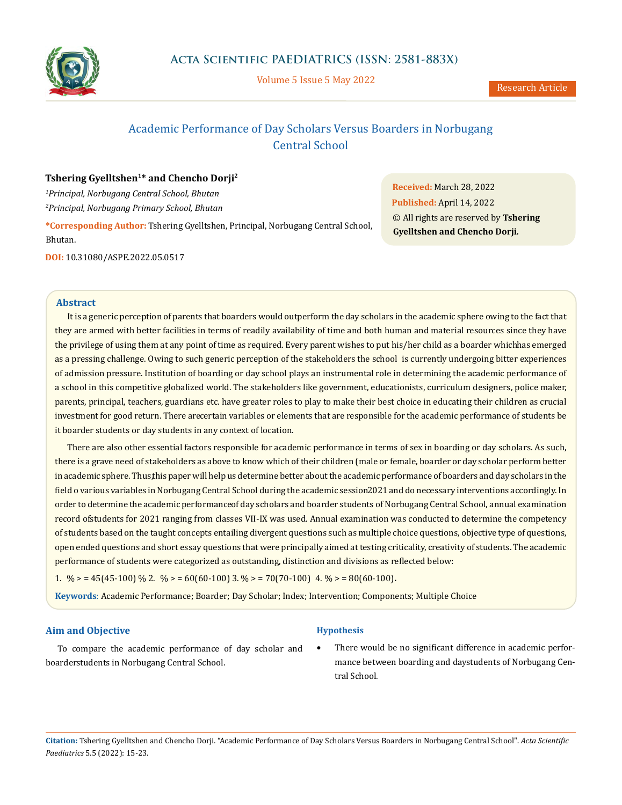

Volume 5 Issue 5 May 2022

# Academic Performance of Day Scholars Versus Boarders in Norbugang Central School

# **Tshering Gyelltshen1\* and Chencho Dorji2**

*1 Principal, Norbugang Central School, Bhutan 2 Principal, Norbugang Primary School, Bhutan*

**\*Corresponding Author:** Tshering Gyelltshen, Principal, Norbugang Central School, Bhutan.

**DOI:** [10.31080/ASPE.2022.05.0517](http://actascientific.com/ASPE/pdf/ASPE-05-0517.pdf)

**Received:** March 28, 2022 **Published:** April 14, 2022 © All rights are reserved by **Tshering Gyelltshen and Chencho Dorji***.*

## **Abstract**

It is a generic perception of parents that boarders would outperform the day scholars in the academic sphere owing to the fact that they are armed with better facilities in terms of readily availability of time and both human and material resources since they have the privilege of using them at any point of time as required. Every parent wishes to put his/her child as a boarder which has emerged as a pressing challenge. Owing to such generic perception of the stakeholders the school is currently undergoing bitter experiences of admission pressure. Institution of boarding or day school plays an instrumental role in determining the academic performance of a school in this competitive globalized world. The stakeholders like government, educationists, curriculum designers, police maker, parents, principal, teachers, guardians etc. have greater roles to play to make their best choice in educating their children as crucial investment for good return. There arecertain variables or elements that are responsible for the academic performance of students be it boarder students or day students in any context of location.

There are also other essential factors responsible for academic performance in terms of sex in boarding or day scholars. As such, there is a grave need of stakeholders as above to know which of their children (male or female, boarder or day scholar perform better in academic sphere. Thus, this paper will help us determine better about the academic performance of boarders and day scholars in the field o various variables in Norbugang Central School during the academic session 2021 and do necessary interventions accordingly. In order to determine the academic performance of day scholars and boarder students of Norbugang Central School, annual examination record of students for 2021 ranging from classes VII-IX was used. Annual examination was conducted to determine the competency of students based on the taught concepts entailing divergent questions such as multiple choice questions, objective type of questions, open ended questions and short essay questions that were principally aimed at testing criticality, creativity of students. The academic performance of students were categorized as outstanding, distinction and divisions as reflected below:

1. % > =  $45(45-100)$  % 2. % > =  $60(60-100)$  3. % > =  $70(70-100)$  4. % > =  $80(60-100)$ .

**Keywords**: Academic Performance; Boarder; Day Scholar; Index; Intervention; Components; Multiple Choice

## **Aim and Objective**

## **Hypothesis**

To compare the academic performance of day scholar and boarder students in Norbugang Central School.

There would be no significant difference in academic performance between boarding and daystudents of Norbugang Central School.

**Citation:** Tshering Gyelltshen and Chencho Dorji*.* "Academic Performance of Day Scholars Versus Boarders in Norbugang Central School". *Acta Scientific Paediatrics* 5.5 (2022): 15-23.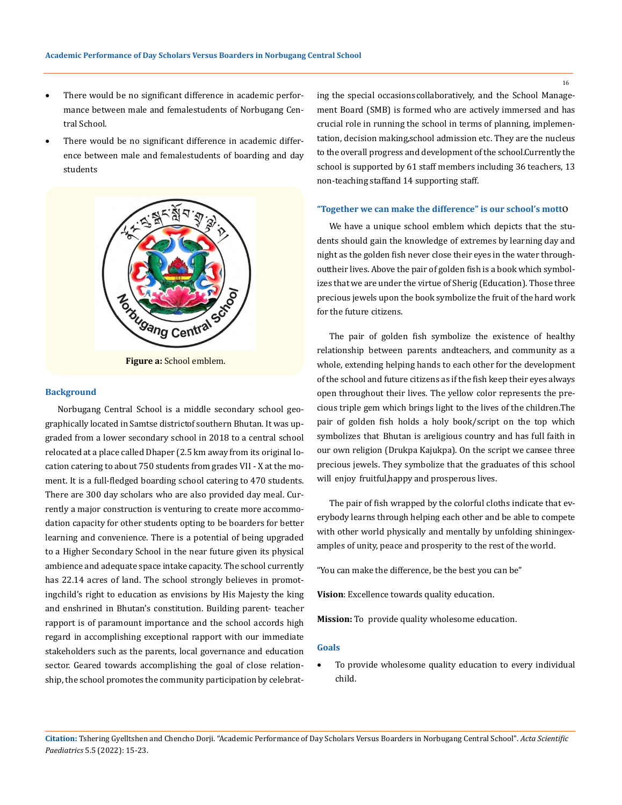- There would be no significant difference in academic performance between male and femalestudents of Norbugang Central School.
- There would be no significant difference in academic difference between male and female students of boarding and day students



**Figure a:** School emblem.

## **Background**

Norbugang Central School is a middle secondary school geographically located in Samtse districtof southern Bhutan. It was upgraded from a lower secondary school in 2018 to a central school relocated at a place called Dhaper (2.5 km away from its original location catering to about 750 students from grades VII - X at the moment. It is a full-fledged boarding school catering to 470 students. There are 300 day scholars who are also provided day meal. Currently a major construction is venturing to create more accommodation capacity for other students opting to be boarders for better learning and convenience. There is a potential of being upgraded to a Higher Secondary School in the near future given its physical ambience and adequate space intake capacity. The school currently has 22.14 acres of land. The school strongly believes in promoting child's right to education as envisions by His Majesty the king and enshrined in Bhutan's constitution. Building parent- teacher rapport is of paramount importance and the school accords high regard in accomplishing exceptional rapport with our immediate stakeholders such as the parents, local governance and education sector. Geared towards accomplishing the goal of close relationship, the school promotes the community participation by celebrating the special occasions collaboratively, and the School Management Board (SMB) is formed who are actively immersed and has crucial role in running the school in terms of planning, implementation, decision making, school admission etc. They are the nucleus to the overall progress and development of the school. Currently the school is supported by 61 staff members including 36 teachers, 13 non-teaching staffand 14 supporting staff.

#### **"Together we can make the difference" is our school's mott**o

We have a unique school emblem which depicts that the students should gain the knowledge of extremes by learning day and night as the golden fish never close their eyes in the water throughout their lives. Above the pair of golden fish is a book which symbolizes that we are under the virtue of Sherig (Education). Those three precious jewels upon the book symbolize the fruit of the hard work for the future citizens.

The pair of golden fish symbolize the existence of healthy relationship between parents and teachers, and community as a whole, extending helping hands to each other for the development of the school and future citizens as if the fish keep their eyes always open throughout their lives. The yellow color represents the precious triple gem which brings light to the lives of the children. The pair of golden fish holds a holy book/script on the top which symbolizes that Bhutan is areligious country and has full faith in our own religion (Drukpa Kajukpa). On the script we cansee three precious jewels. They symbolize that the graduates of this school will enjoy fruitful, happy and prosperous lives.

The pair of fish wrapped by the colorful cloths indicate that everybody learns through helping each other and be able to compete with other world physically and mentally by unfolding shining examples of unity, peace and prosperity to the rest of the world.

"You can make the difference, be the best you can be"

**Vision**: Excellence towards quality education.

**Mission:** To provide quality wholesome education.

#### **Goals**

To provide wholesome quality education to every individual child.

**Citation:** Tshering Gyelltshen and Chencho Dorji*.* "Academic Performance of Day Scholars Versus Boarders in Norbugang Central School". *Acta Scientific Paediatrics* 5.5 (2022): 15-23.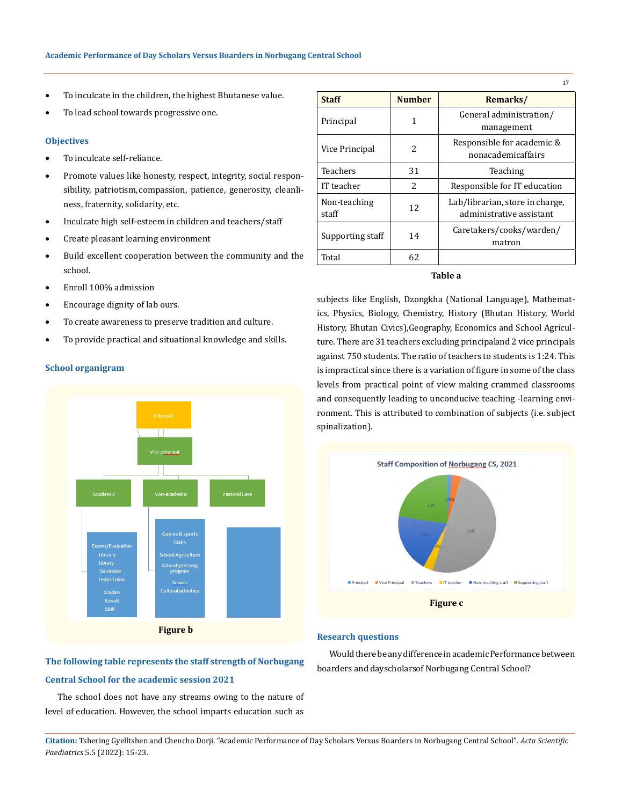- • To inculcate in the children, the highest Bhutanese value.
- • To lead school towards progressive one.

#### **Objectives**

- • To inculcate self-reliance.
- Promote values like honesty, respect, integrity, social responsibility, patriotism, compassion, patience, generosity, cleanliness, fraternity, solidarity, etc.
- Inculcate high self-esteem in children and teachers/staff
- • Create pleasant learning environment
- • Build excellent cooperation between the community and the school.
- Enroll 100% admission
- • Encourage dignity of lab ours.
- • To create awareness to preserve tradition and culture.
- • To provide practical and situational knowledge and skills.



# **The following table represents the staff strength of Norbugang Central School for the academic session 2021**

The school does not have any streams owing to the nature of level of education. However, the school imparts education such as

| <b>Staff</b>          | <b>Number</b>            | Remarks/                                                    |
|-----------------------|--------------------------|-------------------------------------------------------------|
| Principal             | 1                        | General administration/<br>management                       |
| Vice Principal        | 2                        | Responsible for academic &<br>nonacademicaffairs            |
| Teachers              | 31                       | Teaching                                                    |
| IT teacher            | $\overline{\mathcal{L}}$ | Responsible for IT education                                |
| Non-teaching<br>staff | 12                       | Lab/librarian, store in charge,<br>administrative assistant |
| Supporting staff      | 14                       | Caretakers/cooks/warden/<br>matron                          |
| Total                 | 62.                      |                                                             |

17

## **Table a**

subjects like English, Dzongkha (National Language), Mathematics, Physics, Biology, Chemistry, History (Bhutan History, World History, Bhutan Civics),Geography, Economics and School Agriculture. There are 31 teachers excluding principal and 2 vice principals against 750 students. The ratio of teachers to students is 1:24. This is impractical since there is a variation of figure in some of the class levels from practical point of view making crammed classrooms and consequently leading to unconducive teaching -learning environment. This is attributed to combination of subjects (i.e. subject spinalization).



# **Research questions**

Would there be any difference in academic Performance between boarders and dayscholars of Norbugang Central School?

**Citation:** Tshering Gyelltshen and Chencho Dorji*.* "Academic Performance of Day Scholars Versus Boarders in Norbugang Central School". *Acta Scientific Paediatrics* 5.5 (2022): 15-23.

#### **School organigram**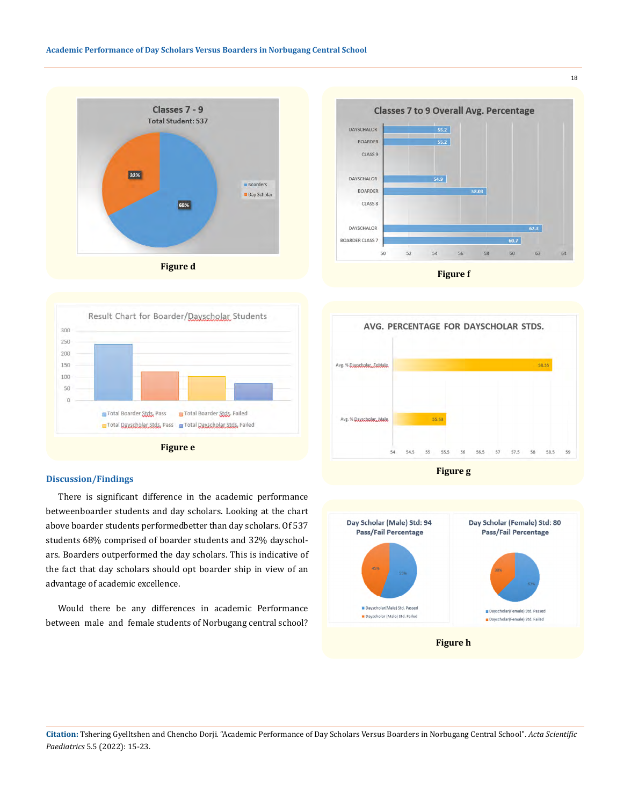







### **Discussion/Findings**

There is significant difference in the academic performance between boarder students and day scholars. Looking at the chart above boarder students performedbetter than day scholars. Of 537 students 68% comprised of boarder students and 32% dayscholars. Boarders outperformed the day scholars. This is indicative of the fact that day scholars should opt boarder ship in view of an advantage of academic excellence.

Would there be any differences in academic Performance between male and female students of Norbugang central school?





**Citation:** Tshering Gyelltshen and Chencho Dorji*.* "Academic Performance of Day Scholars Versus Boarders in Norbugang Central School". *Acta Scientific Paediatrics* 5.5 (2022): 15-23.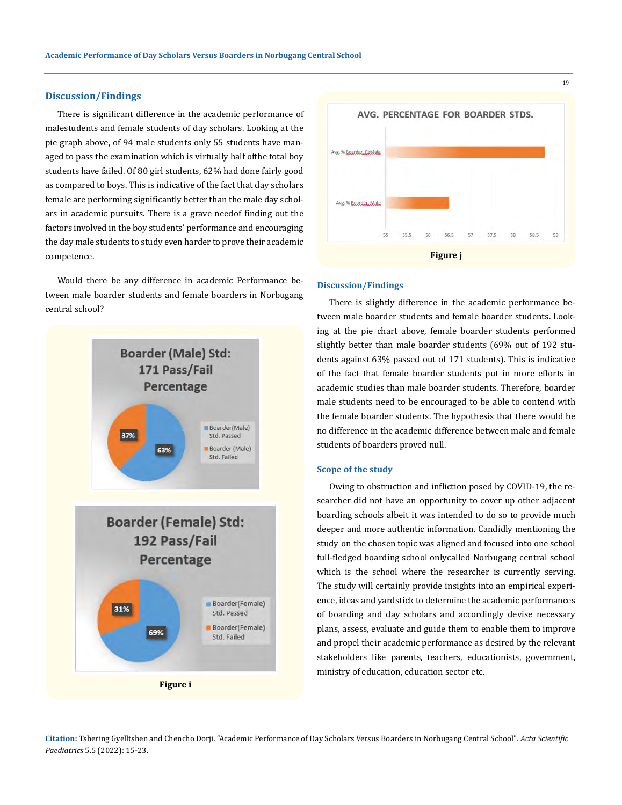### **Discussion/Findings**

There is significant difference in the academic performance of male students and female students of day scholars. Looking at the pie graph above, of 94 male students only 55 students have managed to pass the examination which is virtually half of the total boy students have failed. Of 80 girl students, 62% had done fairly good as compared to boys. This is indicative of the fact that day scholars female are performing significantly better than the male day scholars in academic pursuits. There is a grave need of finding out the factors involved in the boy students' performance and encouraging the day male students to study even harder to prove their academic competence.

Would there be any difference in academic Performance between male boarder students and female boarders in Norbugang central school?





#### **Discussion/Findings**

There is slightly difference in the academic performance between male boarder students and female boarder students. Looking at the pie chart above, female boarder students performed slightly better than male boarder students (69% out of 192 students against 63% passed out of 171 students). This is indicative of the fact that female boarder students put in more efforts in academic studies than male boarder students. Therefore, boarder male students need to be encouraged to be able to contend with the female boarder students. The hypothesis that there would be no difference in the academic difference between male and female students of boarders proved null.

## **Scope of the study**

Owing to obstruction and infliction posed by COVID-19, the researcher did not have an opportunity to cover up other adjacent boarding schools albeit it was intended to do so to provide much deeper and more authentic information. Candidly mentioning the study on the chosen topic was aligned and focused into one school full-fledged boarding school only called Norbugang central school which is the school where the researcher is currently serving. The study will certainly provide insights into an empirical experience, ideas and yardstick to determine the academic performances of boarding and day scholars and accordingly devise necessary plans, assess, evaluate and guide them to enable them to improve and propel their academic performance as desired by the relevant stakeholders like parents, teachers, educationists, government, ministry of education, education sector etc.

**Citation:** Tshering Gyelltshen and Chencho Dorji*.* "Academic Performance of Day Scholars Versus Boarders in Norbugang Central School". *Acta Scientific Paediatrics* 5.5 (2022): 15-23.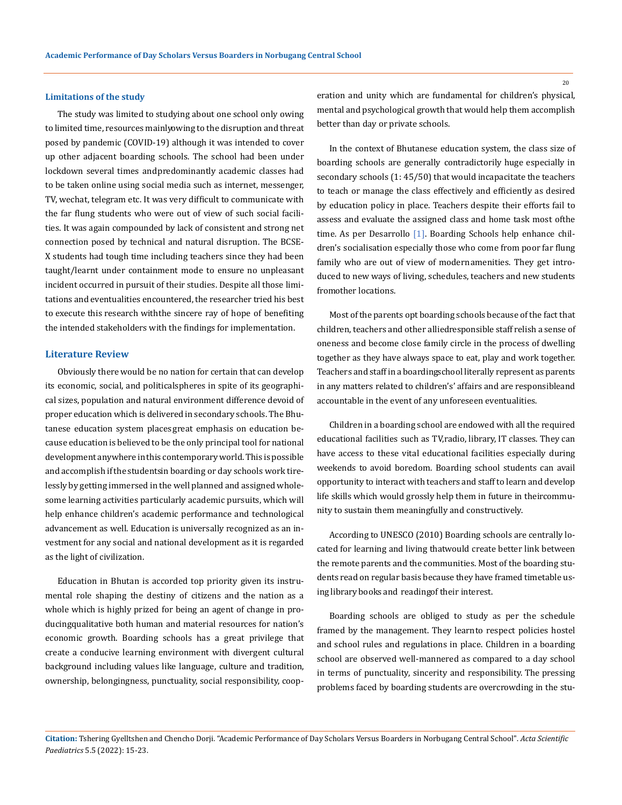#### **Limitations of the study**

The study was limited to studying about one school only owing to limited time, resources mainly owing to the disruption and threat posed by pandemic (COVID-19) although it was intended to cover up other adjacent boarding schools. The school had been under lockdown several times and predominantly academic classes had to be taken online using social media such as internet, messenger, TV, wechat, telegram etc. It was very difficult to communicate with the far flung students who were out of view of such social facilities. It was again compounded by lack of consistent and strong net connection posed by technical and natural disruption. The BCSE-X students had tough time including teachers since they had been taught/learnt under containment mode to ensure no unpleasant incident occurred in pursuit of their studies. Despite all those limitations and eventualities encountered, the researcher tried his best to execute this research with the sincere ray of hope of benefiting the intended stakeholders with the findings for implementation.

#### **Literature Review**

Obviously there would be no nation for certain that can develop its economic, social, and political spheres in spite of its geographical sizes, population and natural environment difference devoid of proper education which is delivered in secondary schools. The Bhutanese education system places great emphasis on education because education is believed to be the only principal tool for national development anywhere in this contemporary world. This is possible and accomplish if the studentsin boarding or day schools work tirelessly by getting immersed in the well planned and assigned wholesome learning activities particularly academic pursuits, which will help enhance children's academic performance and technological advancement as well. Education is universally recognized as an investment for any social and national development as it is regarded as the light of civilization.

Education in Bhutan is accorded top priority given its instrumental role shaping the destiny of citizens and the nation as a whole which is highly prized for being an agent of change in producing qualitative both human and material resources for nation's economic growth. Boarding schools has a great privilege that create a conducive learning environment with divergent cultural background including values like language, culture and tradition, ownership, belongingness, punctuality, social responsibility, cooperation and unity which are fundamental for children's physical, mental and psychological growth that would help them accomplish better than day or private schools.

In the context of Bhutanese education system, the class size of boarding schools are generally contradictorily huge especially in secondary schools (1: 45/50) that would incapacitate the teachers to teach or manage the class effectively and efficiently as desired by education policy in place. Teachers despite their efforts fail to assess and evaluate the assigned class and home task most of the time. As per Desarrollo [1]. Boarding Schools help enhance children's socialisation especially those who come from poor far flung family who are out of view of modern amenities. They get introduced to new ways of living, schedules, teachers and new students from other locations.

Most of the parents opt boarding schools because of the fact that children, teachers and other allied responsible staff relish a sense of oneness and become close family circle in the process of dwelling together as they have always space to eat, play and work together. Teachers and staff in a boarding school literally represent as parents in any matters related to children's' affairs and are responsible and accountable in the event of any unforeseen eventualities.

Children in a boarding school are endowed with all the required educational facilities such as TV, radio, library, IT classes. They can have access to these vital educational facilities especially during weekends to avoid boredom. Boarding school students can avail opportunity to interact with teachers and staff to learn and develop life skills which would grossly help them in future in their community to sustain them meaningfully and constructively.

According to UNESCO (2010) Boarding schools are centrally located for learning and living that would create better link between the remote parents and the communities. Most of the boarding students read on regular basis because they have framed timetable using library books and reading of their interest.

Boarding schools are obliged to study as per the schedule framed by the management. They learnto respect policies hostel and school rules and regulations in place. Children in a boarding school are observed well-mannered as compared to a day school in terms of punctuality, sincerity and responsibility. The pressing problems faced by boarding students are overcrowding in the stu-

**Citation:** Tshering Gyelltshen and Chencho Dorji*.* "Academic Performance of Day Scholars Versus Boarders in Norbugang Central School". *Acta Scientific Paediatrics* 5.5 (2022): 15-23.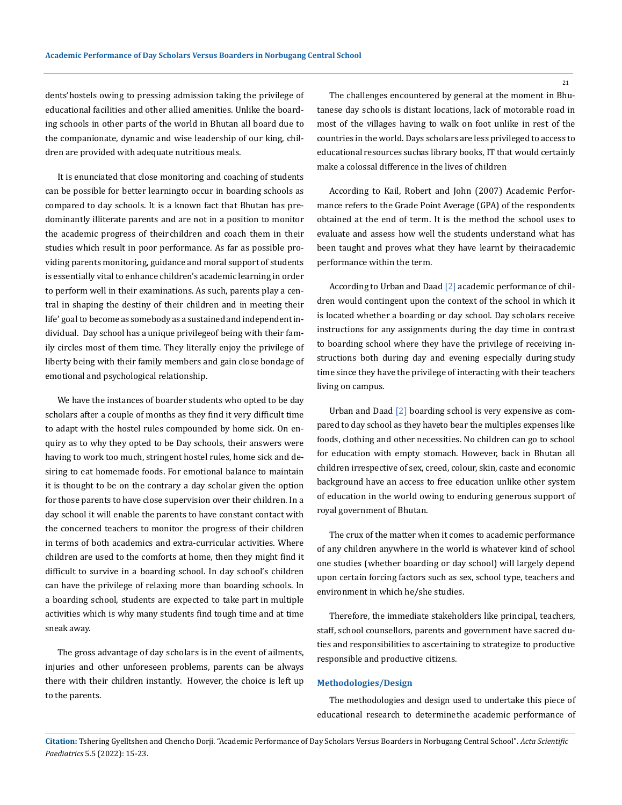dents' hostels owing to pressing admission taking the privilege of educational facilities and other allied amenities. Unlike the boarding schools in other parts of the world in Bhutan all board due to the companionate, dynamic and wise leadership of our king, children are provided with adequate nutritious meals.

It is enunciated that close monitoring and coaching of students can be possible for better learningto occur in boarding schools as compared to day schools. It is a known fact that Bhutan has predominantly illiterate parents and are not in a position to monitor the academic progress of their children and coach them in their studies which result in poor performance. As far as possible providing parents monitoring, guidance and moral support of students is essentially vital to enhance children's academic learning in order to perform well in their examinations. As such, parents play a central in shaping the destiny of their children and in meeting their life' goal to become as somebody as a sustained and independent individual. Day school has a unique privilege of being with their family circles most of them time. They literally enjoy the privilege of liberty being with their family members and gain close bondage of emotional and psychological relationship.

We have the instances of boarder students who opted to be day scholars after a couple of months as they find it very difficult time to adapt with the hostel rules compounded by home sick. On enquiry as to why they opted to be Day schools, their answers were having to work too much, stringent hostel rules, home sick and desiring to eat homemade foods. For emotional balance to maintain it is thought to be on the contrary a day scholar given the option for those parents to have close supervision over their children. In a day school it will enable the parents to have constant contact with the concerned teachers to monitor the progress of their children in terms of both academics and extra-curricular activities. Where children are used to the comforts at home, then they might find it difficult to survive in a boarding school. In day school's children can have the privilege of relaxing more than boarding schools. In a boarding school, students are expected to take part in multiple activities which is why many students find tough time and at time sneak away.

The gross advantage of day scholars is in the event of ailments, injuries and other unforeseen problems, parents can be always there with their children instantly. However, the choice is left up to the parents.

The challenges encountered by general at the moment in Bhutanese day schools is distant locations, lack of motorable road in most of the villages having to walk on foot unlike in rest of the countries in the world. Days scholars are less privileged to access to educational resources suchas library books, IT that would certainly make a colossal difference in the lives of children

According to Kail, Robert and John (2007) Academic Performance refers to the Grade Point Average (GPA) of the respondents obtained at the end of term. It is the method the school uses to evaluate and assess how well the students understand what has been taught and proves what they have learnt by their academic performance within the term.

According to Urban and Daad [2] academic performance of children would contingent upon the context of the school in which it is located whether a boarding or day school. Day scholars receive instructions for any assignments during the day time in contrast to boarding school where they have the privilege of receiving instructions both during day and evening especially during study time since they have the privilege of interacting with their teachers living on campus.

Urban and Daad [2] boarding school is very expensive as compared to day school as they haveto bear the multiples expenses like foods, clothing and other necessities. No children can go to school for education with empty stomach. However, back in Bhutan all children irrespective of sex, creed, colour, skin, caste and economic background have an access to free education unlike other system of education in the world owing to enduring generous support of royal government of Bhutan.

The crux of the matter when it comes to academic performance of any children anywhere in the world is whatever kind of school one studies (whether boarding or day school) will largely depend upon certain forcing factors such as sex, school type, teachers and environment in which he/she studies.

Therefore, the immediate stakeholders like principal, teachers, staff, school counsellors, parents and government have sacred duties and responsibilities to ascertaining to strategize to productive responsible and productive citizens.

#### **Methodologies/Design**

The methodologies and design used to undertake this piece of educational research to determine the academic performance of

**Citation:** Tshering Gyelltshen and Chencho Dorji*.* "Academic Performance of Day Scholars Versus Boarders in Norbugang Central School". *Acta Scientific Paediatrics* 5.5 (2022): 15-23.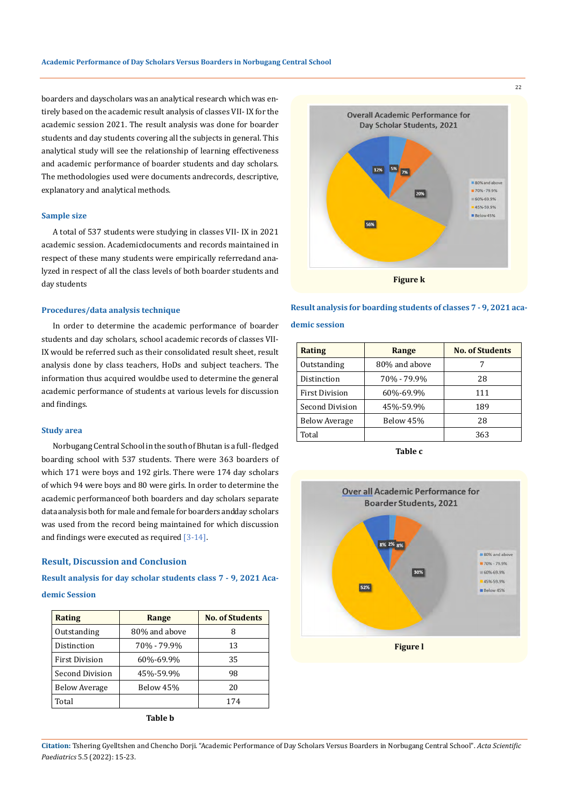boarders and dayscholars was an analytical research which was entirely based on the academic result analysis of classes VII- IX for the academic session 2021. The result analysis was done for boarder students and day students covering all the subjects in general. This analytical study will see the relationship of learning effectiveness and academic performance of boarder students and day scholars. The methodologies used were documents andrecords, descriptive, explanatory and analytical methods.

#### **Sample size**

A total of 537 students were studying in classes VII- IX in 2021 academic session. Academicdocuments and records maintained in respect of these many students were empirically referredand analyzed in respect of all the class levels of both boarder students and day students

## **Procedures/data analysis technique**

In order to determine the academic performance of boarder students and day scholars, school academic records of classes VII-IX would be referred such as their consolidated result sheet, result analysis done by class teachers, HoDs and subject teachers. The information thus acquired wouldbe used to determine the general academic performance of students at various levels for discussion and findings.

#### **Study area**

Norbugang Central School in the south of Bhutan is a full- fledged boarding school with 537 students. There were 363 boarders of which 171 were boys and 192 girls. There were 174 day scholars of which 94 were boys and 80 were girls. In order to determine the academic performance of both boarders and day scholars separate data analysis both for male and female for boarders andday scholars was used from the record being maintained for which discussion and findings were executed as required [3-14].

#### **Result, Discussion and Conclusion**

# **Result analysis for day scholar students class 7 - 9, 2021 Academic Session**

| <b>Rating</b>         | Range         | <b>No. of Students</b> |
|-----------------------|---------------|------------------------|
| Outstanding           | 80% and above | 8                      |
| Distinction           | 70% - 79.9%   | 13                     |
| <b>First Division</b> | 60%-69.9%     | 35                     |
| Second Division       | 45%-59.9%     | 98                     |
| <b>Below Average</b>  | Below 45%     | 20                     |
| Total                 |               | 174                    |



#### **Result analysis for boarding students of classes 7 - 9, 2021 aca-**

## **demic session**

| Rating                | Range         | <b>No. of Students</b> |
|-----------------------|---------------|------------------------|
| Outstanding           | 80% and above |                        |
| Distinction           | 70% - 79.9%   | 28                     |
| <b>First Division</b> | 60%-69.9%     | 111                    |
| Second Division       | 45%-59.9%     | 189                    |
| <b>Below Average</b>  | Below 45%     | 28                     |
| Total                 |               | 363                    |

**Table c**



**Citation:** Tshering Gyelltshen and Chencho Dorji*.* "Academic Performance of Day Scholars Versus Boarders in Norbugang Central School". *Acta Scientific Paediatrics* 5.5 (2022): 15-23.